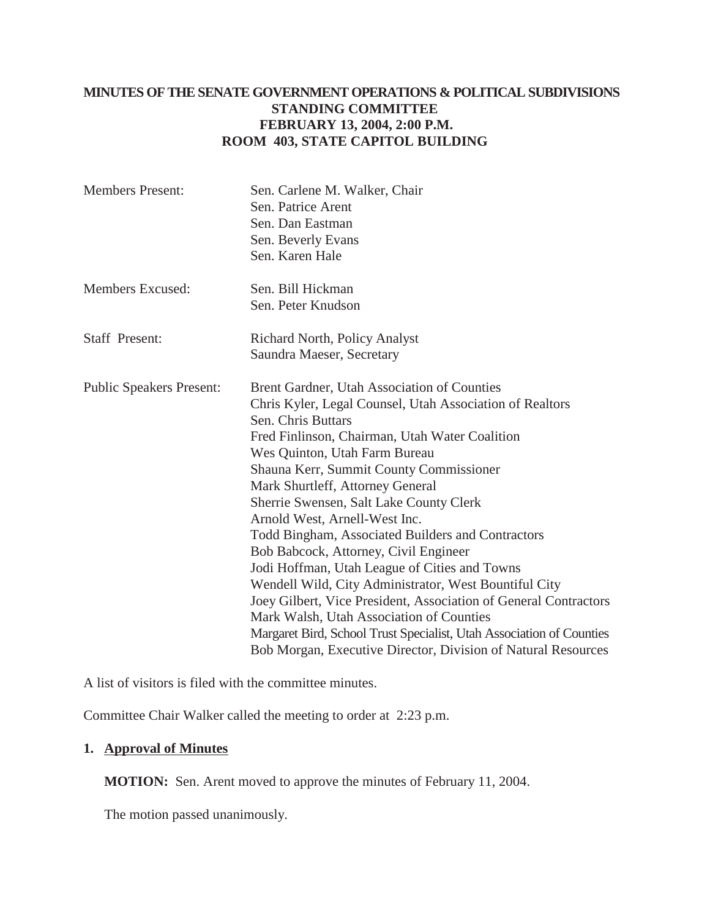# **MINUTES OF THE SENATE GOVERNMENT OPERATIONS & POLITICAL SUBDIVISIONS STANDING COMMITTEE FEBRUARY 13, 2004, 2:00 P.M. ROOM 403, STATE CAPITOL BUILDING**

| <b>Members Present:</b>         | Sen. Carlene M. Walker, Chair<br>Sen. Patrice Arent<br>Sen. Dan Eastman<br>Sen. Beverly Evans<br>Sen. Karen Hale                                                                                                                                                                                                                                                                                                                                                                                                                                                                                                                                                                                                                                                                                                                             |
|---------------------------------|----------------------------------------------------------------------------------------------------------------------------------------------------------------------------------------------------------------------------------------------------------------------------------------------------------------------------------------------------------------------------------------------------------------------------------------------------------------------------------------------------------------------------------------------------------------------------------------------------------------------------------------------------------------------------------------------------------------------------------------------------------------------------------------------------------------------------------------------|
| Members Excused:                | Sen. Bill Hickman<br>Sen. Peter Knudson                                                                                                                                                                                                                                                                                                                                                                                                                                                                                                                                                                                                                                                                                                                                                                                                      |
| <b>Staff Present:</b>           | Richard North, Policy Analyst<br>Saundra Maeser, Secretary                                                                                                                                                                                                                                                                                                                                                                                                                                                                                                                                                                                                                                                                                                                                                                                   |
| <b>Public Speakers Present:</b> | Brent Gardner, Utah Association of Counties<br>Chris Kyler, Legal Counsel, Utah Association of Realtors<br>Sen. Chris Buttars<br>Fred Finlinson, Chairman, Utah Water Coalition<br>Wes Quinton, Utah Farm Bureau<br>Shauna Kerr, Summit County Commissioner<br>Mark Shurtleff, Attorney General<br>Sherrie Swensen, Salt Lake County Clerk<br>Arnold West, Arnell-West Inc.<br>Todd Bingham, Associated Builders and Contractors<br>Bob Babcock, Attorney, Civil Engineer<br>Jodi Hoffman, Utah League of Cities and Towns<br>Wendell Wild, City Administrator, West Bountiful City<br>Joey Gilbert, Vice President, Association of General Contractors<br>Mark Walsh, Utah Association of Counties<br>Margaret Bird, School Trust Specialist, Utah Association of Counties<br>Bob Morgan, Executive Director, Division of Natural Resources |

A list of visitors is filed with the committee minutes.

Committee Chair Walker called the meeting to order at 2:23 p.m.

# **1. Approval of Minutes**

**MOTION:** Sen. Arent moved to approve the minutes of February 11, 2004.

The motion passed unanimously.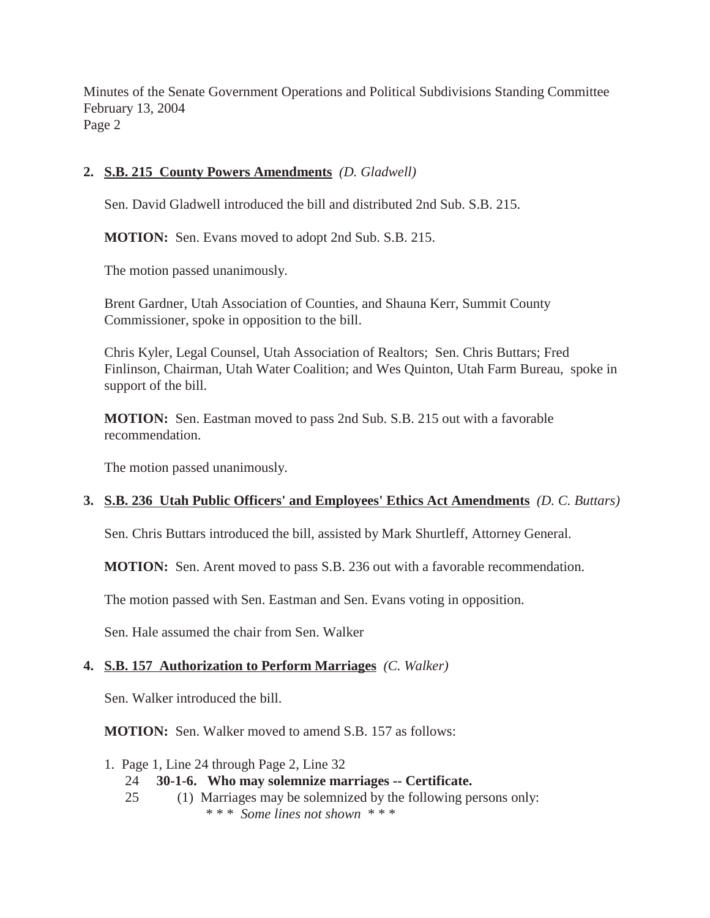Minutes of the Senate Government Operations and Political Subdivisions Standing Committee February 13, 2004 Page 2

# **2. S.B. 215 County Powers Amendments** *(D. Gladwell)*

Sen. David Gladwell introduced the bill and distributed 2nd Sub. S.B. 215.

**MOTION:** Sen. Evans moved to adopt 2nd Sub. S.B. 215.

The motion passed unanimously.

Brent Gardner, Utah Association of Counties, and Shauna Kerr, Summit County Commissioner, spoke in opposition to the bill.

Chris Kyler, Legal Counsel, Utah Association of Realtors; Sen. Chris Buttars; Fred Finlinson, Chairman, Utah Water Coalition; and Wes Quinton, Utah Farm Bureau, spoke in support of the bill.

**MOTION:** Sen. Eastman moved to pass 2nd Sub. S.B. 215 out with a favorable recommendation.

The motion passed unanimously.

#### **3. S.B. 236 Utah Public Officers' and Employees' Ethics Act Amendments** *(D. C. Buttars)*

Sen. Chris Buttars introduced the bill, assisted by Mark Shurtleff, Attorney General.

**MOTION:** Sen. Arent moved to pass S.B. 236 out with a favorable recommendation.

The motion passed with Sen. Eastman and Sen. Evans voting in opposition.

Sen. Hale assumed the chair from Sen. Walker

## **4. S.B. 157 Authorization to Perform Marriages** *(C. Walker)*

Sen. Walker introduced the bill.

**MOTION:** Sen. Walker moved to amend S.B. 157 as follows:

- 1. Page 1, Line 24 through Page 2, Line 32
	- 24 **30-1-6. Who may solemnize marriages -- Certificate.**
	- 25 (1) Marriages may be solemnized by the following persons only: \* \* \* *Some lines not shown* \* \* \*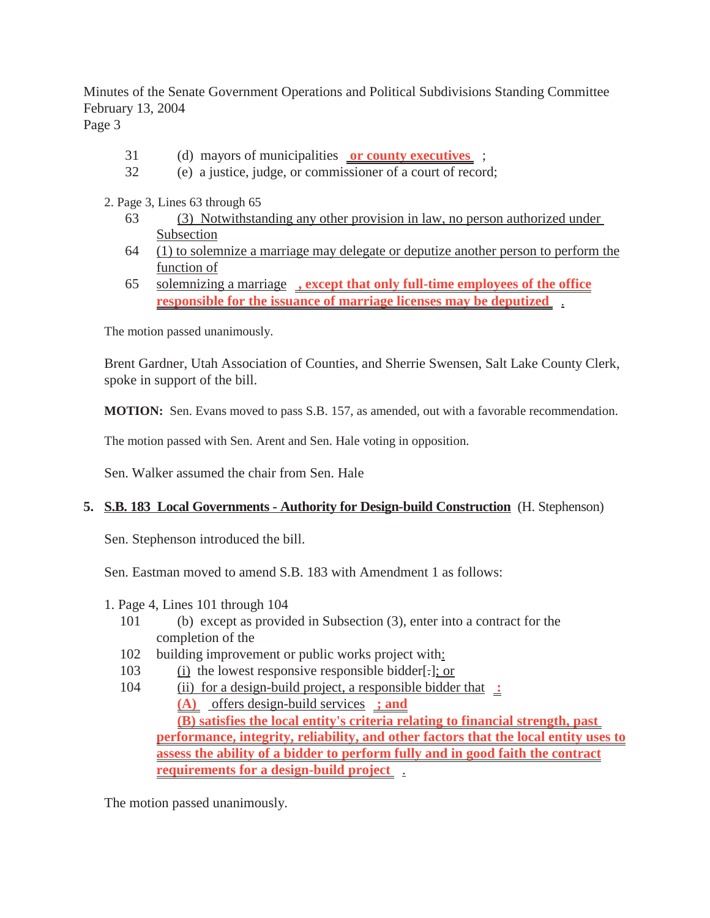Minutes of the Senate Government Operations and Political Subdivisions Standing Committee February 13, 2004

Page 3

- 31 (d) mayors of municipalities **or county executives** ;
- 32 (e) a justice, judge, or commissioner of a court of record;
- 2. Page 3, Lines 63 through 65
	- 63 (3) Notwithstanding any other provision in law, no person authorized under Subsection
	- 64 (1) to solemnize a marriage may delegate or deputize another person to perform the function of
	- 65 solemnizing a marriage **, except that only full-time employees of the office responsible for the issuance of marriage licenses may be deputized** .

The motion passed unanimously.

Brent Gardner, Utah Association of Counties, and Sherrie Swensen, Salt Lake County Clerk, spoke in support of the bill.

**MOTION:** Sen. Evans moved to pass S.B. 157, as amended, out with a favorable recommendation.

The motion passed with Sen. Arent and Sen. Hale voting in opposition.

Sen. Walker assumed the chair from Sen. Hale

#### **5. S.B. 183 Local Governments - Authority for Design-build Construction** (H. Stephenson)

Sen. Stephenson introduced the bill.

Sen. Eastman moved to amend S.B. 183 with Amendment 1 as follows:

- 1. Page 4, Lines 101 through 104
	- 101 (b) except as provided in Subsection (3), enter into a contract for the completion of the
	- 102 building improvement or public works project with:
	- 103 (i) the lowest responsive responsible bidder[.]; or
	- 104 (ii) for a design-build project, a responsible bidder that **: (A)** offers design-build services **; and (B) satisfies the local entity's criteria relating to financial strength, past performance, integrity, reliability, and other factors that the local entity uses to assess the ability of a bidder to perform fully and in good faith the contract requirements for a design-build project** .

The motion passed unanimously.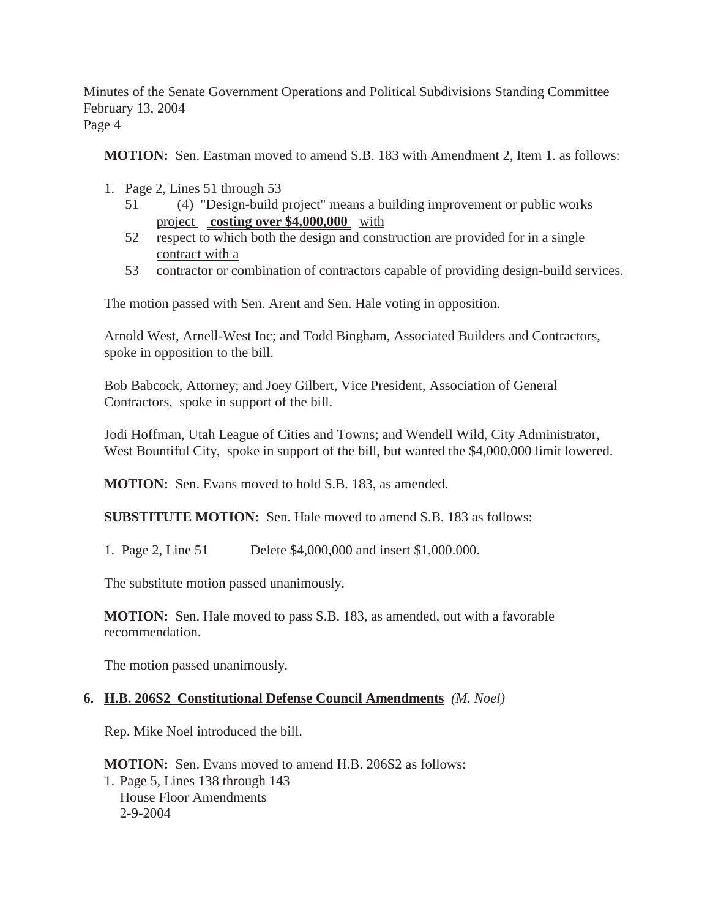Minutes of the Senate Government Operations and Political Subdivisions Standing Committee February 13, 2004

Page 4

**MOTION:** Sen. Eastman moved to amend S.B. 183 with Amendment 2, Item 1. as follows:

- 1. Page 2, Lines 51 through 53
	- 51 (4) "Design-build project" means a building improvement or public works project **costing over \$4,000,000** with
	- 52 respect to which both the design and construction are provided for in a single contract with a
	- 53 contractor or combination of contractors capable of providing design-build services.

The motion passed with Sen. Arent and Sen. Hale voting in opposition.

Arnold West, Arnell-West Inc; and Todd Bingham, Associated Builders and Contractors, spoke in opposition to the bill.

Bob Babcock, Attorney; and Joey Gilbert, Vice President, Association of General Contractors, spoke in support of the bill.

Jodi Hoffman, Utah League of Cities and Towns; and Wendell Wild, City Administrator, West Bountiful City, spoke in support of the bill, but wanted the \$4,000,000 limit lowered.

**MOTION:** Sen. Evans moved to hold S.B. 183, as amended.

**SUBSTITUTE MOTION:** Sen. Hale moved to amend S.B. 183 as follows:

1. Page 2, Line 51 Delete \$4,000,000 and insert \$1,000.000.

The substitute motion passed unanimously.

**MOTION:** Sen. Hale moved to pass S.B. 183, as amended, out with a favorable recommendation.

The motion passed unanimously.

## **6. H.B. 206S2 Constitutional Defense Council Amendments** *(M. Noel)*

Rep. Mike Noel introduced the bill.

**MOTION:** Sen. Evans moved to amend H.B. 206S2 as follows: 1. Page 5, Lines 138 through 143 House Floor Amendments 2-9-2004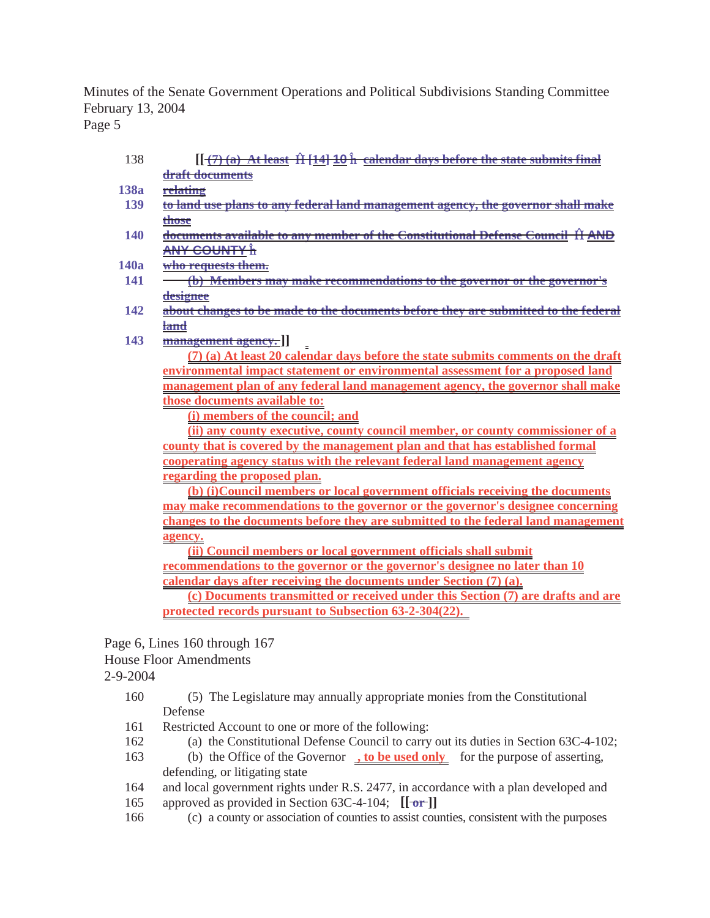Minutes of the Senate Government Operations and Political Subdivisions Standing Committee February 13, 2004

Page 5

- 138 *[* $\frac{7}{2}$  *(a)* **At least**  $\hat{H}$  **[14] 10**  $\hat{h}$  **calendar days before the state submits final draft documents**
- **138a relating**
- **139 to land use plans to any federal land management agency, the governor shall make those**
- **140** documents available to any member of the Constitutional Defense Council **II AND ANY COUNTY** ¡
- **140a who requests them.**
- **141 (b) Members may make recommendations to the governor or the governor's designee**
- **142 about changes to be made to the documents before they are submitted to the federal land**
- **143 management agency. ]]**

**(7) (a) At least 20 calendar days before the state submits comments on the draft environmental impact statement or environmental assessment for a proposed land management plan of any federal land management agency, the governor shall make those documents available to:**

**(i) members of the council; and**

**(ii) any county executive, county council member, or county commissioner of a county that is covered by the management plan and that has established formal cooperating agency status with the relevant federal land management agency regarding the proposed plan.**

**(b) (i)Council members or local government officials receiving the documents may make recommendations to the governor or the governor's designee concerning changes to the documents before they are submitted to the federal land management agency.**

**(ii) Council members or local government officials shall submit recommendations to the governor or the governor's designee no later than 10 calendar days after receiving the documents under Section (7) (a).**

**(c) Documents transmitted or received under this Section (7) are drafts and are protected records pursuant to Subsection 63-2-304(22).** 

Page 6, Lines 160 through 167

House Floor Amendments

2-9-2004

- 160 (5) The Legislature may annually appropriate monies from the Constitutional Defense
- 161 Restricted Account to one or more of the following:
- 162 (a) the Constitutional Defense Council to carry out its duties in Section 63C-4-102;
- 163 (b) the Office of the Governor **, to be used only** for the purpose of asserting, defending, or litigating state
- 164 and local government rights under R.S. 2477, in accordance with a plan developed and
- 165 approved as provided in Section 63C-4-104; **[[ or ]]**
- 166 (c) a county or association of counties to assist counties, consistent with the purposes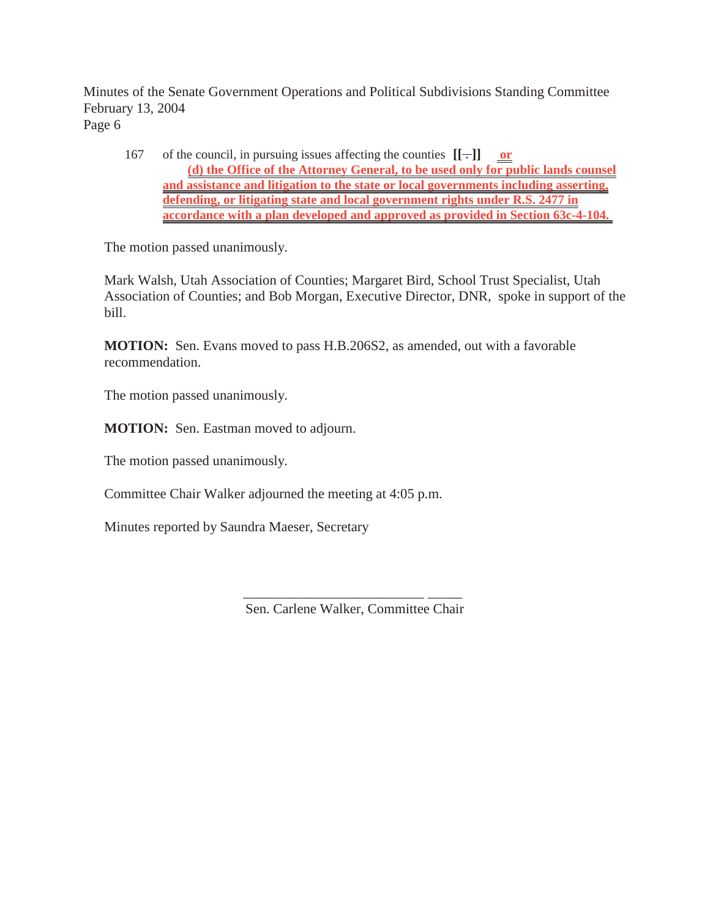Minutes of the Senate Government Operations and Political Subdivisions Standing Committee February 13, 2004 Page 6

167 of the council, in pursuing issues affecting the counties  $[[\cdot]]$  or **(d) the Office of the Attorney General, to be used only for public lands counsel and assistance and litigation to the state or local governments including asserting, defending, or litigating state and local government rights under R.S. 2477 in accordance with a plan developed and approved as provided in Section 63c-4-104.** 

The motion passed unanimously.

Mark Walsh, Utah Association of Counties; Margaret Bird, School Trust Specialist, Utah Association of Counties; and Bob Morgan, Executive Director, DNR, spoke in support of the bill.

**MOTION:** Sen. Evans moved to pass H.B.206S2, as amended, out with a favorable recommendation.

The motion passed unanimously.

**MOTION:** Sen. Eastman moved to adjourn.

The motion passed unanimously.

Committee Chair Walker adjourned the meeting at 4:05 p.m.

Minutes reported by Saundra Maeser, Secretary

\_\_\_\_\_\_\_\_\_\_\_\_\_\_\_\_\_\_\_\_\_\_\_\_\_\_ \_\_\_\_\_ Sen. Carlene Walker, Committee Chair